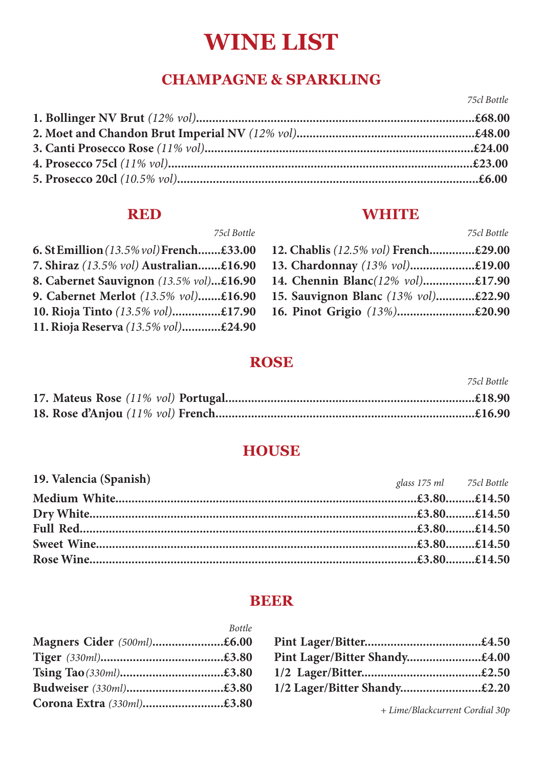# **WINE LIST**

# **CHAMPAGNE & SPARKLING**

*75cl Bottle*

*75cl Bottle*

#### **RED**

### **WHITE**

| 6. St Emillion (13.5% vol) French£33.00 |  |
|-----------------------------------------|--|
| 7. Shiraz (13.5% vol) Australian£16.90  |  |
| 8. Cabernet Sauvignon (13.5% vol)£16.90 |  |
| 9. Cabernet Merlot (13.5% vol)£16.90    |  |
| 10. Rioja Tinto (13.5% vol)£17.90       |  |
| 11. Rioja Reserva (13.5% vol)£24.90     |  |
|                                         |  |

| 12. Chablis (12.5% vol) French£29.00 |  |
|--------------------------------------|--|
| 13. Chardonnay (13% vol)£19.00       |  |
| 14. Chennin Blanc(12% vol)£17.90     |  |
| 15. Sauvignon Blanc (13% vol)£22.90  |  |
| 16. Pinot Grigio (13%)£20.90         |  |

#### **ROSE**

|  | 7.766.110.666 |
|--|---------------|
|  |               |
|  |               |

## **HOUSE**

| 19. Valencia (Spanish) | glass 175 ml 75cl Bottle |  |
|------------------------|--------------------------|--|
|                        |                          |  |
|                        |                          |  |
|                        |                          |  |
|                        |                          |  |
|                        |                          |  |

#### **BEER**

|                            | <b>Bottle</b> |
|----------------------------|---------------|
| Magners Cider (500ml)£6.00 |               |
|                            |               |
| Tsing Tao (330ml)£3.80     |               |
| Budweiser (330ml)£3.80     |               |
| Corona Extra (330ml)£3.80  |               |

| Pint Lager/Bitter Shandy£4.00 |  |
|-------------------------------|--|
|                               |  |
| 1/2 Lager/Bitter Shandy£2.20  |  |

*+ Lime/Blackcurrent Cordial 30p*

*75cl Bottle*

*75cl Bottle*